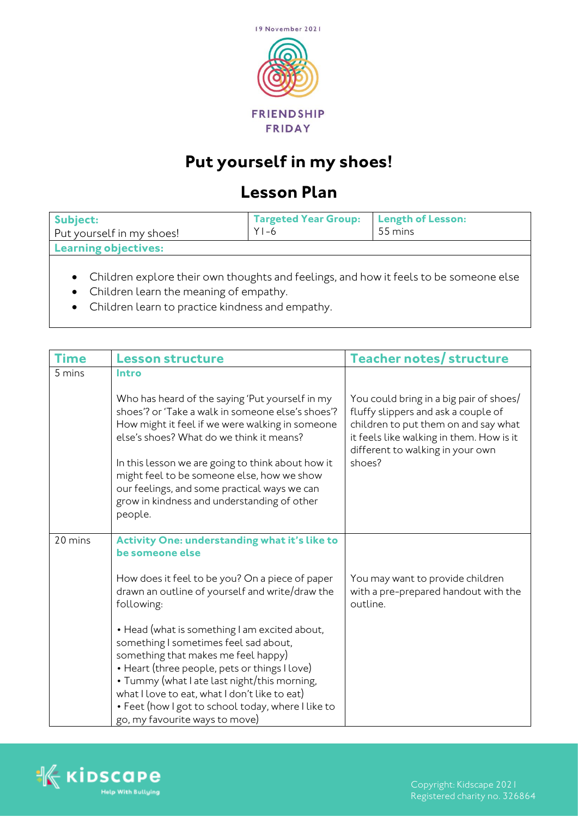

## **Put yourself in my shoes!**

## **Lesson Plan**

| Subject:<br>Put yourself in my shoes! | Targeted Year Group:   Length of Lesson:<br>$Y$ l-6 | 55 mins |  |  |
|---------------------------------------|-----------------------------------------------------|---------|--|--|
| <b>Learning objectives:</b>           |                                                     |         |  |  |
|                                       |                                                     |         |  |  |

- Children explore their own thoughts and feelings, and how it feels to be someone else
- Children learn the meaning of empathy.
- Children learn to practice kindness and empathy.

| <b>Time</b> | <b>Lesson structure</b>                                                                                                                                                                                                                                                                                                                                                                                          | <b>Teacher notes/ structure</b>                                                                                                                                                                                  |
|-------------|------------------------------------------------------------------------------------------------------------------------------------------------------------------------------------------------------------------------------------------------------------------------------------------------------------------------------------------------------------------------------------------------------------------|------------------------------------------------------------------------------------------------------------------------------------------------------------------------------------------------------------------|
| 5 mins      | Intro                                                                                                                                                                                                                                                                                                                                                                                                            |                                                                                                                                                                                                                  |
|             | Who has heard of the saying 'Put yourself in my<br>shoes'? or 'Take a walk in someone else's shoes'?<br>How might it feel if we were walking in someone<br>else's shoes? What do we think it means?<br>In this lesson we are going to think about how it<br>might feel to be someone else, how we show<br>our feelings, and some practical ways we can<br>grow in kindness and understanding of other<br>people. | You could bring in a big pair of shoes/<br>fluffy slippers and ask a couple of<br>children to put them on and say what<br>it feels like walking in them. How is it<br>different to walking in your own<br>shoes? |
| 20 mins     | Activity One: understanding what it's like to                                                                                                                                                                                                                                                                                                                                                                    |                                                                                                                                                                                                                  |
|             | be someone else                                                                                                                                                                                                                                                                                                                                                                                                  |                                                                                                                                                                                                                  |
|             | How does it feel to be you? On a piece of paper<br>drawn an outline of yourself and write/draw the<br>following:                                                                                                                                                                                                                                                                                                 | You may want to provide children<br>with a pre-prepared handout with the<br>outline.                                                                                                                             |
|             | • Head (what is something I am excited about,<br>something I sometimes feel sad about,<br>something that makes me feel happy)                                                                                                                                                                                                                                                                                    |                                                                                                                                                                                                                  |
|             | • Heart (three people, pets or things I love)                                                                                                                                                                                                                                                                                                                                                                    |                                                                                                                                                                                                                  |
|             | • Tummy (what I ate last night/this morning,<br>what I love to eat, what I don't like to eat)                                                                                                                                                                                                                                                                                                                    |                                                                                                                                                                                                                  |
|             | • Feet (how I got to school today, where I like to                                                                                                                                                                                                                                                                                                                                                               |                                                                                                                                                                                                                  |
|             | go, my favourite ways to move)                                                                                                                                                                                                                                                                                                                                                                                   |                                                                                                                                                                                                                  |

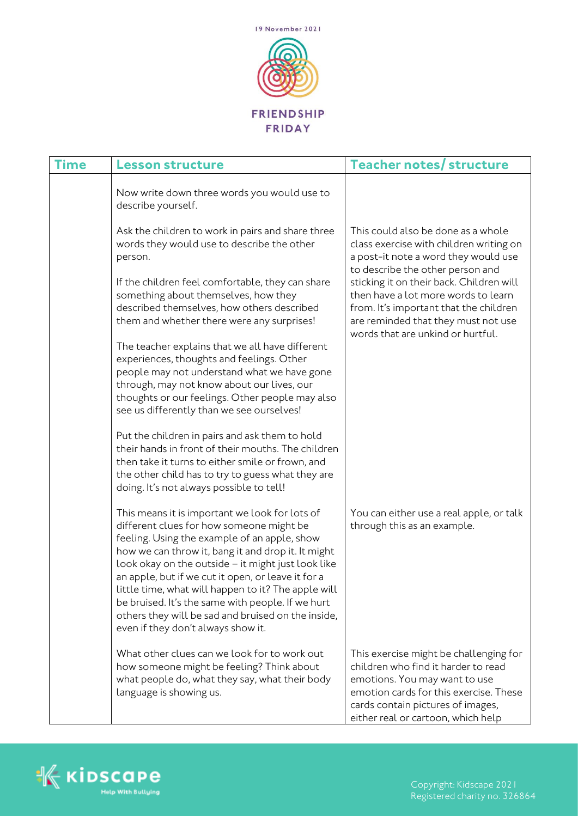

| <b>Time</b> | <b>Lesson structure</b>                                                                                                                                                                                                                                                                                                                                                                                                                                                                                              | <b>Teacher notes/ structure</b>                                                                                                                                                                                                           |
|-------------|----------------------------------------------------------------------------------------------------------------------------------------------------------------------------------------------------------------------------------------------------------------------------------------------------------------------------------------------------------------------------------------------------------------------------------------------------------------------------------------------------------------------|-------------------------------------------------------------------------------------------------------------------------------------------------------------------------------------------------------------------------------------------|
|             | Now write down three words you would use to<br>describe yourself.                                                                                                                                                                                                                                                                                                                                                                                                                                                    |                                                                                                                                                                                                                                           |
|             | Ask the children to work in pairs and share three<br>words they would use to describe the other<br>person.                                                                                                                                                                                                                                                                                                                                                                                                           | This could also be done as a whole<br>class exercise with children writing on<br>a post-it note a word they would use                                                                                                                     |
|             | If the children feel comfortable, they can share<br>something about themselves, how they<br>described themselves, how others described<br>them and whether there were any surprises!                                                                                                                                                                                                                                                                                                                                 | to describe the other person and<br>sticking it on their back. Children will<br>then have a lot more words to learn<br>from. It's important that the children<br>are reminded that they must not use<br>words that are unkind or hurtful. |
|             | The teacher explains that we all have different<br>experiences, thoughts and feelings. Other<br>people may not understand what we have gone<br>through, may not know about our lives, our<br>thoughts or our feelings. Other people may also<br>see us differently than we see ourselves!                                                                                                                                                                                                                            |                                                                                                                                                                                                                                           |
|             | Put the children in pairs and ask them to hold<br>their hands in front of their mouths. The children<br>then take it turns to either smile or frown, and<br>the other child has to try to guess what they are<br>doing. It's not always possible to tell!                                                                                                                                                                                                                                                            |                                                                                                                                                                                                                                           |
|             | This means it is important we look for lots of<br>different clues for how someone might be<br>feeling. Using the example of an apple, show<br>how we can throw it, bang it and drop it. It might<br>look okay on the outside - it might just look like<br>an apple, but if we cut it open, or leave it for a<br>little time, what will happen to it? The apple will<br>be bruised. It's the same with people. If we hurt<br>others they will be sad and bruised on the inside,<br>even if they don't always show it. | You can either use a real apple, or talk<br>through this as an example.                                                                                                                                                                   |
|             | What other clues can we look for to work out<br>how someone might be feeling? Think about<br>what people do, what they say, what their body<br>language is showing us.                                                                                                                                                                                                                                                                                                                                               | This exercise might be challenging for<br>children who find it harder to read<br>emotions. You may want to use<br>emotion cards for this exercise. These<br>cards contain pictures of images,<br>either real or cartoon, which help       |



Registered charity no. 326864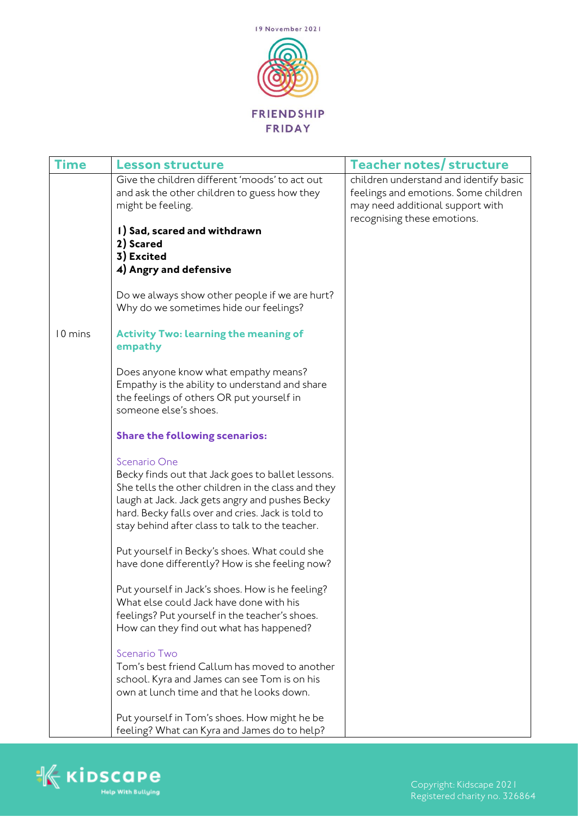

| <b>Time</b> | <b>Lesson structure</b>                                                                                                                                                                                                                                                            | <b>Teacher notes/ structure</b>                                                                                                                   |
|-------------|------------------------------------------------------------------------------------------------------------------------------------------------------------------------------------------------------------------------------------------------------------------------------------|---------------------------------------------------------------------------------------------------------------------------------------------------|
|             | Give the children different 'moods' to act out<br>and ask the other children to guess how they<br>might be feeling.<br>1) Sad, scared and withdrawn<br>2) Scared<br>3) Excited<br>4) Angry and defensive                                                                           | children understand and identify basic<br>feelings and emotions. Some children<br>may need additional support with<br>recognising these emotions. |
|             | Do we always show other people if we are hurt?<br>Why do we sometimes hide our feelings?                                                                                                                                                                                           |                                                                                                                                                   |
| 10 mins     | <b>Activity Two: learning the meaning of</b><br>empathy                                                                                                                                                                                                                            |                                                                                                                                                   |
|             | Does anyone know what empathy means?<br>Empathy is the ability to understand and share<br>the feelings of others OR put yourself in<br>someone else's shoes.                                                                                                                       |                                                                                                                                                   |
|             | <b>Share the following scenarios:</b>                                                                                                                                                                                                                                              |                                                                                                                                                   |
|             | Scenario One<br>Becky finds out that Jack goes to ballet lessons.<br>She tells the other children in the class and they<br>laugh at Jack. Jack gets angry and pushes Becky<br>hard. Becky falls over and cries. Jack is told to<br>stay behind after class to talk to the teacher. |                                                                                                                                                   |
|             | Put yourself in Becky's shoes. What could she<br>have done differently? How is she feeling now?                                                                                                                                                                                    |                                                                                                                                                   |
|             | Put yourself in Jack's shoes. How is he feeling?<br>What else could Jack have done with his<br>feelings? Put yourself in the teacher's shoes.<br>How can they find out what has happened?                                                                                          |                                                                                                                                                   |
|             | Scenario Two<br>Tom's best friend Callum has moved to another<br>school. Kyra and James can see Tom is on his<br>own at lunch time and that he looks down.                                                                                                                         |                                                                                                                                                   |
|             | Put yourself in Tom's shoes. How might he be<br>feeling? What can Kyra and James do to help?                                                                                                                                                                                       |                                                                                                                                                   |